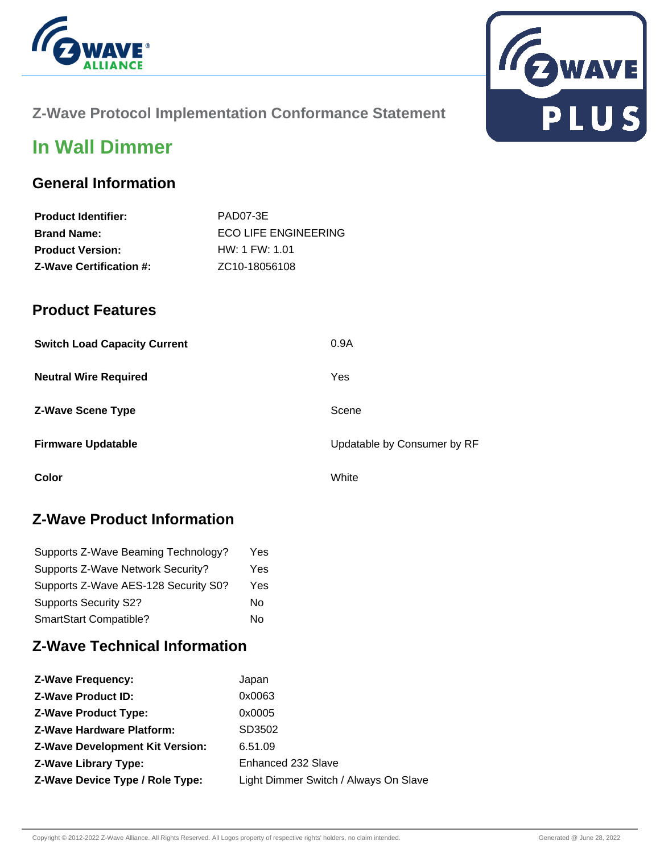



# **Z-Wave Protocol Implementation Conformance Statement**

# **In Wall Dimmer**

### **General Information**

| <b>Product Identifier:</b>     | PAD07-3E                    |
|--------------------------------|-----------------------------|
| <b>Brand Name:</b>             | <b>ECO LIFE ENGINEERING</b> |
| <b>Product Version:</b>        | HW: 1 FW: 1.01              |
| <b>Z-Wave Certification #:</b> | ZC10-18056108               |

### **Product Features**

| <b>Switch Load Capacity Current</b> | 0.9A                        |
|-------------------------------------|-----------------------------|
| <b>Neutral Wire Required</b>        | Yes                         |
| <b>Z-Wave Scene Type</b>            | Scene                       |
| <b>Firmware Updatable</b>           | Updatable by Consumer by RF |
| Color                               | White                       |

### **Z-Wave Product Information**

| Supports Z-Wave Beaming Technology?  | Yes |
|--------------------------------------|-----|
| Supports Z-Wave Network Security?    | Yes |
| Supports Z-Wave AES-128 Security S0? | Yes |
| <b>Supports Security S2?</b>         | No  |
| SmartStart Compatible?               | N٥  |

## **Z-Wave Technical Information**

| <b>Z-Wave Frequency:</b>               | Japan                                 |
|----------------------------------------|---------------------------------------|
| <b>Z-Wave Product ID:</b>              | 0x0063                                |
| <b>Z-Wave Product Type:</b>            | 0x0005                                |
| <b>Z-Wave Hardware Platform:</b>       | SD3502                                |
| <b>Z-Wave Development Kit Version:</b> | 6.51.09                               |
| <b>Z-Wave Library Type:</b>            | Enhanced 232 Slave                    |
| Z-Wave Device Type / Role Type:        | Light Dimmer Switch / Always On Slave |